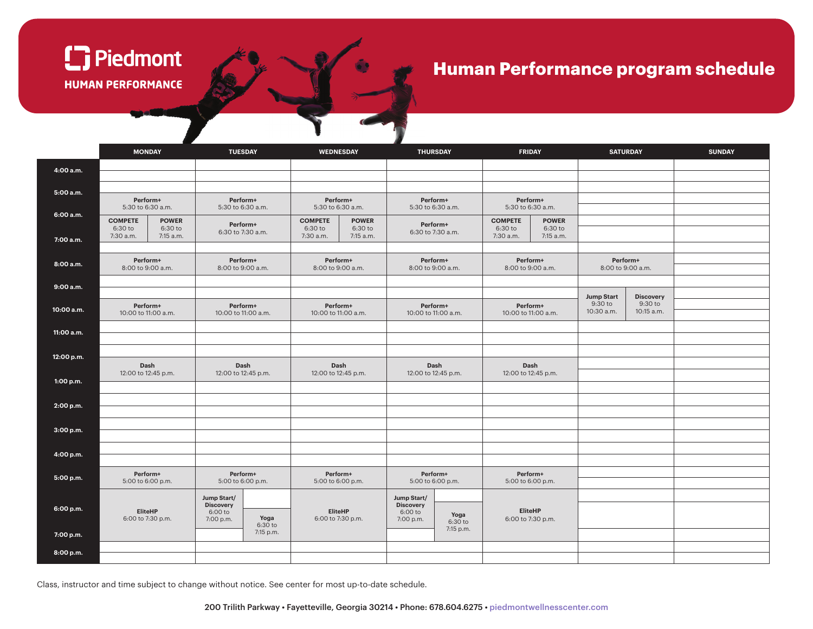

## **Human Performance program schedule**

|            |                                 | <b>MONDAY</b>        |                                 | <b>TUESDAY</b>    |                                 | WEDNESDAY            |                                   | <b>THURSDAY</b> |                                 | <b>FRIDAY</b>        |                               | <b>SATURDAY</b>             | <b>SUNDAY</b> |  |
|------------|---------------------------------|----------------------|---------------------------------|-------------------|---------------------------------|----------------------|-----------------------------------|-----------------|---------------------------------|----------------------|-------------------------------|-----------------------------|---------------|--|
| 4:00 a.m.  |                                 |                      |                                 |                   |                                 |                      |                                   |                 |                                 |                      |                               |                             |               |  |
| 5:00 a.m.  |                                 |                      |                                 |                   |                                 |                      |                                   |                 |                                 |                      |                               |                             |               |  |
|            | Perform+<br>5:30 to 6:30 a.m.   |                      | Perform+<br>5:30 to 6:30 a.m.   |                   | Perform+<br>5:30 to 6:30 a.m.   |                      | Perform+<br>5:30 to 6:30 a.m.     |                 | Perform+<br>5:30 to 6:30 a.m.   |                      |                               |                             |               |  |
| 6:00 a.m.  | <b>COMPETE</b><br><b>POWER</b>  |                      | Perform+                        |                   | <b>COMPETE</b><br><b>POWER</b>  |                      | Perform+                          |                 | <b>COMPETE</b><br><b>POWER</b>  |                      |                               |                             |               |  |
| 7:00 a.m.  | 6:30 to<br>7:30 a.m.            | 6:30 to<br>7:15 a.m. |                                 | 6:30 to 7:30 a.m. | 6:30 to<br>7:30 a.m.            | 6:30 to<br>7:15 a.m. | 6:30 to 7:30 a.m.                 |                 | 6:30 to<br>7:30 a.m.            | 6:30 to<br>7:15 a.m. |                               |                             |               |  |
|            |                                 |                      |                                 |                   |                                 |                      |                                   |                 |                                 |                      |                               |                             |               |  |
| 8:00 a.m.  | Perform+<br>8:00 to 9:00 a.m.   |                      | Perform+<br>8:00 to 9:00 a.m.   |                   | Perform+<br>8:00 to 9:00 a.m.   |                      | Perform+<br>8:00 to 9:00 a.m.     |                 | Perform+<br>8:00 to 9:00 a.m.   |                      | Perform+<br>8:00 to 9:00 a.m. |                             |               |  |
| 9:00 a.m.  |                                 |                      |                                 |                   |                                 |                      |                                   |                 |                                 |                      |                               |                             |               |  |
|            |                                 |                      |                                 |                   |                                 |                      |                                   |                 |                                 |                      | <b>Jump Start</b><br>9:30 to  | <b>Discovery</b><br>9:30 to |               |  |
| 10:00 a.m. | Perform+<br>10:00 to 11:00 a.m. |                      | Perform+<br>10:00 to 11:00 a.m. |                   | Perform+<br>10:00 to 11:00 a.m. |                      | Perform+<br>10:00 to 11:00 a.m.   |                 | Perform+<br>10:00 to 11:00 a.m. |                      | 10:30 a.m.                    | 10:15 a.m.                  |               |  |
| 11:00 a.m. |                                 |                      |                                 |                   |                                 |                      |                                   |                 |                                 |                      |                               |                             |               |  |
|            |                                 |                      |                                 |                   |                                 |                      |                                   |                 |                                 |                      |                               |                             |               |  |
| 12:00 p.m. |                                 |                      |                                 |                   |                                 |                      |                                   |                 |                                 |                      |                               |                             |               |  |
|            | Dash<br>12:00 to 12:45 p.m.     |                      | Dash<br>12:00 to 12:45 p.m.     |                   | Dash<br>12:00 to 12:45 p.m.     |                      | Dash<br>12:00 to 12:45 p.m.       |                 | Dash<br>12:00 to 12:45 p.m.     |                      |                               |                             |               |  |
| 1:00 p.m.  |                                 |                      |                                 |                   |                                 |                      |                                   |                 |                                 |                      |                               |                             |               |  |
| 2:00 p.m.  |                                 |                      |                                 |                   |                                 |                      |                                   |                 |                                 |                      |                               |                             |               |  |
|            |                                 |                      |                                 |                   |                                 |                      |                                   |                 |                                 |                      |                               |                             |               |  |
| 3:00 p.m.  |                                 |                      |                                 |                   |                                 |                      |                                   |                 |                                 |                      |                               |                             |               |  |
|            |                                 |                      |                                 |                   |                                 |                      |                                   |                 |                                 |                      |                               |                             |               |  |
| 4:00 p.m.  |                                 |                      |                                 |                   |                                 |                      |                                   |                 |                                 |                      |                               |                             |               |  |
| 5:00 p.m.  | Perform+<br>5:00 to 6:00 p.m.   |                      | Perform+<br>5:00 to 6:00 p.m.   |                   | Perform+<br>5:00 to 6:00 p.m.   |                      | Perform+<br>5:00 to 6:00 p.m.     |                 | Perform+<br>5:00 to 6:00 p.m.   |                      |                               |                             |               |  |
|            |                                 |                      | Jump Start/                     |                   |                                 |                      | Jump Start/                       |                 |                                 |                      |                               |                             |               |  |
| 6:00 p.m.  | EliteHP                         |                      | <b>Discovery</b><br>6:00 to     |                   |                                 | EliteHP              | <b>Discovery</b><br>6:00 to       | Yoga            | <b>EliteHP</b>                  |                      |                               |                             |               |  |
|            | 6:00 to 7:30 p.m.               |                      | Yoga<br>7:00 p.m.<br>6:30 to    |                   | 6:00 to 7:30 p.m.               |                      | 7:00 p.m.<br>6:30 to<br>7:15 p.m. |                 | 6:00 to 7:30 p.m.               |                      |                               |                             |               |  |
| 7:00 p.m.  |                                 |                      |                                 | 7:15 p.m.         |                                 |                      |                                   |                 |                                 |                      |                               |                             |               |  |
| 8:00 p.m.  |                                 |                      |                                 |                   |                                 |                      |                                   |                 |                                 |                      |                               |                             |               |  |

Class, instructor and time subject to change without notice. See center for most up-to-date schedule.